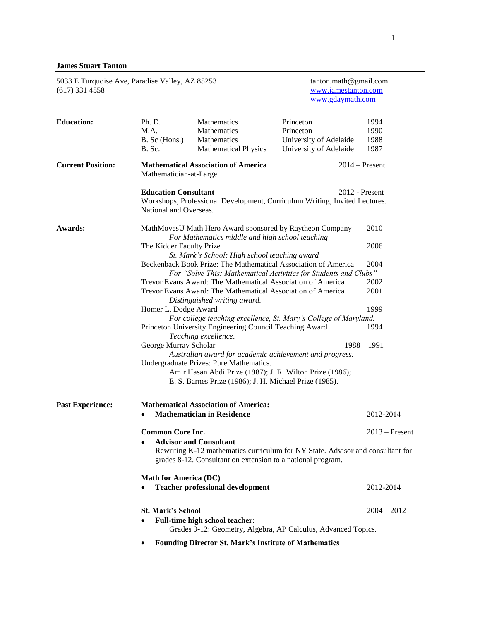# **James Stuart Tanton**

| 5033 E Turquoise Ave, Paradise Valley, AZ 85253<br>$(617)$ 331 4558 |                                                                                                                                                                                |                                                                          | tanton.math@gmail.com<br>www.jamestanton.com<br>www.gdaymath.com           |                              |  |  |
|---------------------------------------------------------------------|--------------------------------------------------------------------------------------------------------------------------------------------------------------------------------|--------------------------------------------------------------------------|----------------------------------------------------------------------------|------------------------------|--|--|
| <b>Education:</b>                                                   | Ph. D.<br>M.A.<br>B. Sc (Hons.)<br>B. Sc.                                                                                                                                      | Mathematics<br>Mathematics<br>Mathematics<br><b>Mathematical Physics</b> | Princeton<br>Princeton<br>University of Adelaide<br>University of Adelaide | 1994<br>1990<br>1988<br>1987 |  |  |
| <b>Current Position:</b>                                            | Mathematician-at-Large                                                                                                                                                         | <b>Mathematical Association of America</b>                               |                                                                            | $2014$ – Present             |  |  |
|                                                                     | <b>Education Consultant</b><br>$2012$ - Present<br>Workshops, Professional Development, Curriculum Writing, Invited Lectures.<br>National and Overseas.                        |                                                                          |                                                                            |                              |  |  |
| Awards:                                                             | MathMovesU Math Hero Award sponsored by Raytheon Company<br>For Mathematics middle and high school teaching                                                                    |                                                                          |                                                                            | 2010                         |  |  |
|                                                                     | The Kidder Faculty Prize                                                                                                                                                       |                                                                          |                                                                            | 2006                         |  |  |
|                                                                     |                                                                                                                                                                                | St. Mark's School: High school teaching award                            |                                                                            |                              |  |  |
|                                                                     |                                                                                                                                                                                | Beckenback Book Prize: The Mathematical Association of America           |                                                                            | 2004                         |  |  |
|                                                                     |                                                                                                                                                                                |                                                                          | For "Solve This: Mathematical Activities for Students and Clubs"           |                              |  |  |
|                                                                     | Trevor Evans Award: The Mathematical Association of America                                                                                                                    |                                                                          |                                                                            | 2002                         |  |  |
|                                                                     |                                                                                                                                                                                | Trevor Evans Award: The Mathematical Association of America<br>2001      |                                                                            |                              |  |  |
|                                                                     | Distinguished writing award.<br>Homer L. Dodge Award                                                                                                                           |                                                                          |                                                                            | 1999                         |  |  |
|                                                                     | For college teaching excellence, St. Mary's College of Maryland.                                                                                                               |                                                                          |                                                                            |                              |  |  |
|                                                                     | Princeton University Engineering Council Teaching Award<br>1994<br>Teaching excellence.                                                                                        |                                                                          |                                                                            |                              |  |  |
|                                                                     | George Murray Scholar                                                                                                                                                          |                                                                          |                                                                            | $1988 - 1991$                |  |  |
|                                                                     | Australian award for academic achievement and progress.                                                                                                                        |                                                                          |                                                                            |                              |  |  |
|                                                                     | Undergraduate Prizes: Pure Mathematics.<br>Amir Hasan Abdi Prize (1987); J. R. Wilton Prize (1986);<br>E. S. Barnes Prize (1986); J. H. Michael Prize (1985).                  |                                                                          |                                                                            |                              |  |  |
| <b>Past Experience:</b>                                             |                                                                                                                                                                                | <b>Mathematical Association of America:</b>                              |                                                                            |                              |  |  |
|                                                                     | $\bullet$                                                                                                                                                                      | <b>Mathematician in Residence</b>                                        |                                                                            | 2012-2014                    |  |  |
|                                                                     | <b>Common Core Inc.</b>                                                                                                                                                        |                                                                          |                                                                            | $2013$ – Present             |  |  |
|                                                                     | <b>Advisor and Consultant</b><br>Rewriting K-12 mathematics curriculum for NY State. Advisor and consultant for<br>grades 8-12. Consultant on extension to a national program. |                                                                          |                                                                            |                              |  |  |
|                                                                     |                                                                                                                                                                                | <b>Math for America (DC)</b>                                             |                                                                            |                              |  |  |
|                                                                     |                                                                                                                                                                                | <b>Teacher professional development</b>                                  |                                                                            | 2012-2014                    |  |  |
|                                                                     | <b>St. Mark's School</b>                                                                                                                                                       | Full-time high school teacher:                                           |                                                                            | $2004 - 2012$                |  |  |
|                                                                     | Grades 9-12: Geometry, Algebra, AP Calculus, Advanced Topics.<br><b>Founding Director St. Mark's Institute of Mathematics</b>                                                  |                                                                          |                                                                            |                              |  |  |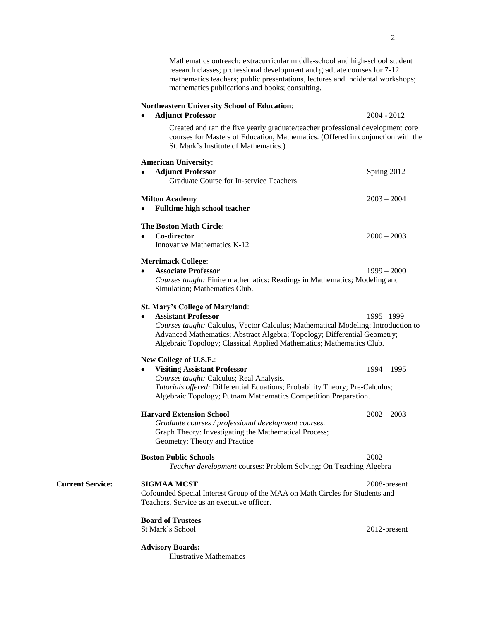Mathematics outreach: extracurricular middle-school and high-school student research classes; professional development and graduate courses for 7-12 mathematics teachers; public presentations, lectures and incidental workshops; mathematics publications and books; consulting.

## **Northeastern University School of Education**:

|                         | <b>Adjunct Professor</b><br>٠                                                                                                                                                                                                         | 2004 - 2012   |
|-------------------------|---------------------------------------------------------------------------------------------------------------------------------------------------------------------------------------------------------------------------------------|---------------|
|                         | Created and ran the five yearly graduate/teacher professional development core<br>courses for Masters of Education, Mathematics. (Offered in conjunction with the<br>St. Mark's Institute of Mathematics.)                            |               |
|                         | <b>American University:</b>                                                                                                                                                                                                           |               |
|                         | <b>Adjunct Professor</b><br>Graduate Course for In-service Teachers                                                                                                                                                                   | Spring 2012   |
|                         | <b>Milton Academy</b>                                                                                                                                                                                                                 | $2003 - 2004$ |
|                         | Fulltime high school teacher                                                                                                                                                                                                          |               |
|                         | <b>The Boston Math Circle:</b>                                                                                                                                                                                                        |               |
|                         | Co-director<br>$\bullet$                                                                                                                                                                                                              | $2000 - 2003$ |
|                         | <b>Innovative Mathematics K-12</b>                                                                                                                                                                                                    |               |
|                         | <b>Merrimack College:</b>                                                                                                                                                                                                             |               |
|                         | <b>Associate Professor</b><br>٠                                                                                                                                                                                                       | $1999 - 2000$ |
|                         | Courses taught: Finite mathematics: Readings in Mathematics; Modeling and<br>Simulation; Mathematics Club.                                                                                                                            |               |
|                         | St. Mary's College of Maryland:                                                                                                                                                                                                       |               |
|                         | <b>Assistant Professor</b>                                                                                                                                                                                                            | $1995 - 1999$ |
|                         | Courses taught: Calculus, Vector Calculus; Mathematical Modeling; Introduction to<br>Advanced Mathematics; Abstract Algebra; Topology; Differential Geometry;<br>Algebraic Topology; Classical Applied Mathematics; Mathematics Club. |               |
|                         | New College of U.S.F.:                                                                                                                                                                                                                |               |
|                         | <b>Visiting Assistant Professor</b><br>٠                                                                                                                                                                                              | $1994 - 1995$ |
|                         | Courses taught: Calculus; Real Analysis.<br>Tutorials offered: Differential Equations; Probability Theory; Pre-Calculus;<br>Algebraic Topology; Putnam Mathematics Competition Preparation.                                           |               |
|                         | <b>Harvard Extension School</b>                                                                                                                                                                                                       | $2002 - 2003$ |
|                         | Graduate courses / professional development courses.<br>Graph Theory: Investigating the Mathematical Process;<br>Geometry: Theory and Practice                                                                                        |               |
|                         | <b>Boston Public Schools</b>                                                                                                                                                                                                          | 2002          |
|                         | Teacher development courses: Problem Solving; On Teaching Algebra                                                                                                                                                                     |               |
| <b>Current Service:</b> | <b>SIGMAA MCST</b>                                                                                                                                                                                                                    | 2008-present  |
|                         | Cofounded Special Interest Group of the MAA on Math Circles for Students and<br>Teachers. Service as an executive officer.                                                                                                            |               |
|                         | <b>Board of Trustees</b>                                                                                                                                                                                                              |               |
|                         | St Mark's School                                                                                                                                                                                                                      | 2012-present  |
|                         | <b>Advisory Boards:</b>                                                                                                                                                                                                               |               |

Illustrative Mathematics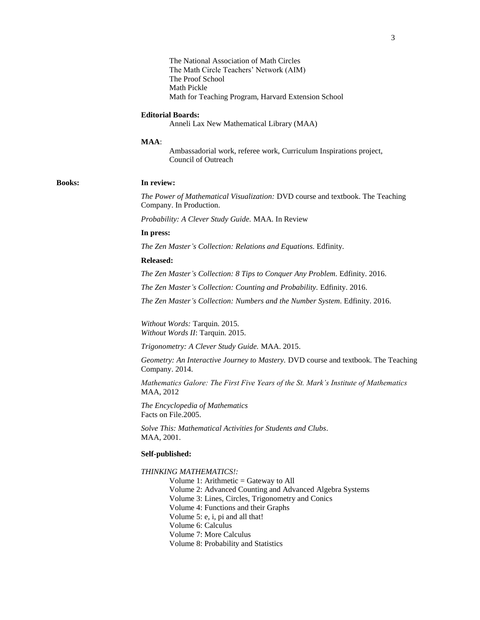The National Association of Math Circles The Math Circle Teachers' Network (AIM) The Proof School Math Pickle Math for Teaching Program, Harvard Extension School

#### **Editorial Boards:**

Anneli Lax New Mathematical Library (MAA)

#### **MAA**:

Ambassadorial work, referee work, Curriculum Inspirations project, Council of Outreach

#### **Books: In review:**

*The Power of Mathematical Visualization:* DVD course and textbook. The Teaching Company. In Production.

*Probability: A Clever Study Guide.* MAA. In Review

### **In press:**

*The Zen Master's Collection: Relations and Equations.* Edfinity.

#### **Released:**

*The Zen Master's Collection: 8 Tips to Conquer Any Problem.* Edfinity. 2016.

*The Zen Master's Collection: Counting and Probability.* Edfinity. 2016.

*The Zen Master's Collection: Numbers and the Number System.* Edfinity. 2016.

*Without Words:* Tarquin. 2015. *Without Words II*: Tarquin. 2015.

*Trigonometry: A Clever Study Guide.* MAA. 2015.

*Geometry: An Interactive Journey to Mastery.* DVD course and textbook. The Teaching Company. 2014.

*Mathematics Galore: The First Five Years of the St. Mark's Institute of Mathematics* MAA, 2012

*The Encyclopedia of Mathematics* Facts on File.2005.

*Solve This: Mathematical Activities for Students and Clubs.* MAA, 2001.

## **Self-published:**

*THINKING MATHEMATICS!:* 

Volume 1: Arithmetic = Gateway to All Volume 2: Advanced Counting and Advanced Algebra Systems Volume 3: Lines, Circles, Trigonometry and Conics Volume 4: Functions and their Graphs Volume 5: e, i, pi and all that! Volume 6: Calculus Volume 7: More Calculus Volume 8: Probability and Statistics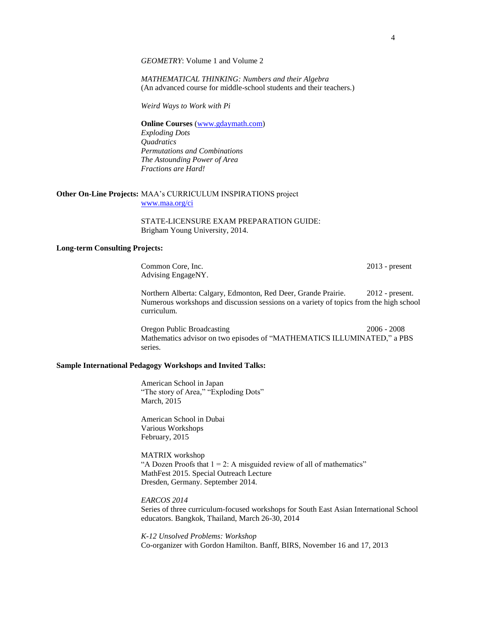*GEOMETRY*: Volume 1 and Volume 2

*MATHEMATICAL THINKING: Numbers and their Algebra*  (An advanced course for middle-school students and their teachers.)

*Weird Ways to Work with Pi*

**Online Courses** [\(www.gdaymath.com\)](http://www.gdaymath.com/) *Exploding Dots Quadratics Permutations and Combinations The Astounding Power of Area Fractions are Hard!*

## **Other On-Line Projects:** MAA's CURRICULUM INSPIRATIONS project [www.maa.org/ci](http://www.maa.org/ci)

STATE-LICENSURE EXAM PREPARATION GUIDE: Brigham Young University, 2014.

### **Long-term Consulting Projects:**

Common Core, Inc. 2013 - present Advising EngageNY.

Northern Alberta: Calgary, Edmonton, Red Deer, Grande Prairie. 2012 - present. Numerous workshops and discussion sessions on a variety of topics from the high school curriculum.

Oregon Public Broadcasting 2006 - 2008 Mathematics advisor on two episodes of "MATHEMATICS ILLUMINATED," a PBS series.

## **Sample International Pedagogy Workshops and Invited Talks:**

American School in Japan "The story of Area," "Exploding Dots" March, 2015

American School in Dubai Various Workshops February, 2015

MATRIX workshop "A Dozen Proofs that  $1 = 2$ : A misguided review of all of mathematics" MathFest 2015. Special Outreach Lecture Dresden, Germany. September 2014.

*EARCOS 2014*

Series of three curriculum-focused workshops for South East Asian International School educators. Bangkok, Thailand, March 26-30, 2014

*K-12 Unsolved Problems: Workshop* Co-organizer with Gordon Hamilton. Banff, BIRS, November 16 and 17, 2013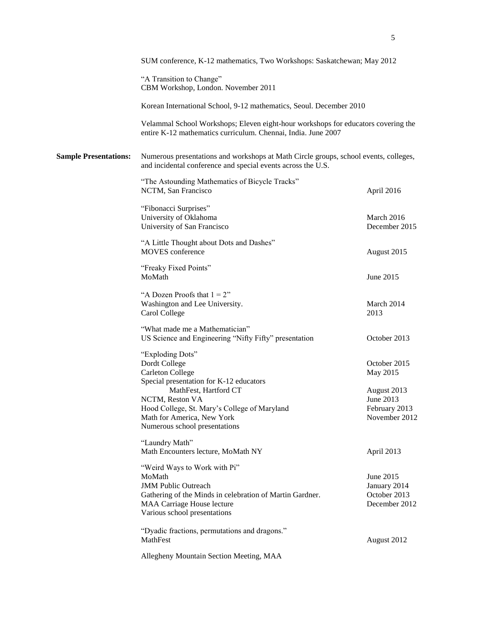|                              | SUM conference, K-12 mathematics, Two Workshops: Saskatchewan; May 2012                                                                                                                               |                                                            |  |
|------------------------------|-------------------------------------------------------------------------------------------------------------------------------------------------------------------------------------------------------|------------------------------------------------------------|--|
|                              | "A Transition to Change"<br>CBM Workshop, London. November 2011                                                                                                                                       |                                                            |  |
|                              | Korean International School, 9-12 mathematics, Seoul. December 2010                                                                                                                                   |                                                            |  |
|                              | Velammal School Workshops; Eleven eight-hour workshops for educators covering the<br>entire K-12 mathematics curriculum. Chennai, India. June 2007                                                    |                                                            |  |
| <b>Sample Presentations:</b> | Numerous presentations and workshops at Math Circle groups, school events, colleges,<br>and incidental conference and special events across the U.S.                                                  |                                                            |  |
|                              | "The Astounding Mathematics of Bicycle Tracks"<br>NCTM, San Francisco                                                                                                                                 | April 2016                                                 |  |
|                              | "Fibonacci Surprises"<br>University of Oklahoma<br>University of San Francisco                                                                                                                        | March 2016<br>December 2015                                |  |
|                              | "A Little Thought about Dots and Dashes"<br><b>MOVES</b> conference                                                                                                                                   | August 2015                                                |  |
|                              | "Freaky Fixed Points"<br>MoMath                                                                                                                                                                       | June 2015                                                  |  |
|                              | "A Dozen Proofs that $1 = 2$ "<br>Washington and Lee University.<br>Carol College                                                                                                                     | March 2014<br>2013                                         |  |
|                              | "What made me a Mathematician"<br>US Science and Engineering "Nifty Fifty" presentation                                                                                                               | October 2013                                               |  |
|                              | "Exploding Dots"<br>Dordt College<br><b>Carleton College</b>                                                                                                                                          | October 2015<br>May 2015                                   |  |
|                              | Special presentation for K-12 educators<br>MathFest, Hartford CT<br>NCTM, Reston VA<br>Hood College, St. Mary's College of Maryland<br>Math for America, New York<br>Numerous school presentations    | August 2013<br>June 2013<br>February 2013<br>November 2012 |  |
|                              | "Laundry Math"<br>Math Encounters lecture, MoMath NY                                                                                                                                                  | April 2013                                                 |  |
|                              | "Weird Ways to Work with Pi"<br>MoMath<br><b>JMM Public Outreach</b><br>Gathering of the Minds in celebration of Martin Gardner.<br><b>MAA Carriage House lecture</b><br>Various school presentations | June 2015<br>January 2014<br>October 2013<br>December 2012 |  |
|                              | "Dyadic fractions, permutations and dragons."<br>MathFest<br>Allegheny Mountain Section Meeting, MAA                                                                                                  | August 2012                                                |  |
|                              |                                                                                                                                                                                                       |                                                            |  |

5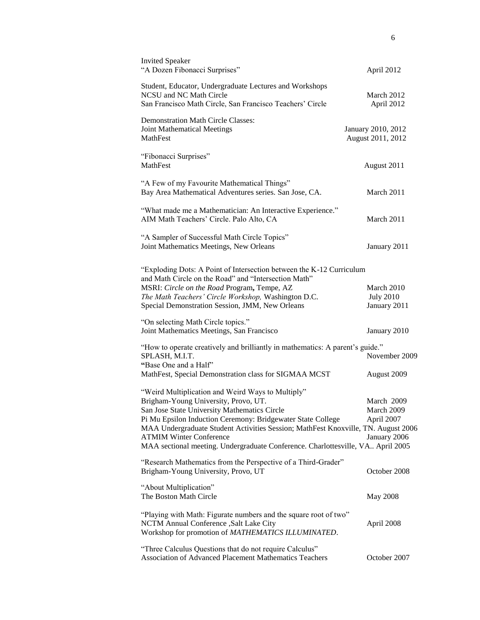| <b>Invited Speaker</b><br>"A Dozen Fibonacci Surprises"                                                                                                                                                                                                                                                                                                                                                            | April 2012                                             |
|--------------------------------------------------------------------------------------------------------------------------------------------------------------------------------------------------------------------------------------------------------------------------------------------------------------------------------------------------------------------------------------------------------------------|--------------------------------------------------------|
| Student, Educator, Undergraduate Lectures and Workshops<br>NCSU and NC Math Circle<br>San Francisco Math Circle, San Francisco Teachers' Circle                                                                                                                                                                                                                                                                    | March 2012<br>April 2012                               |
| <b>Demonstration Math Circle Classes:</b><br>Joint Mathematical Meetings<br><b>MathFest</b>                                                                                                                                                                                                                                                                                                                        | January 2010, 2012<br>August 2011, 2012                |
| "Fibonacci Surprises"<br>MathFest                                                                                                                                                                                                                                                                                                                                                                                  | August 2011                                            |
| "A Few of my Favourite Mathematical Things"<br>Bay Area Mathematical Adventures series. San Jose, CA.                                                                                                                                                                                                                                                                                                              | March 2011                                             |
| "What made me a Mathematician: An Interactive Experience."<br>AIM Math Teachers' Circle. Palo Alto, CA                                                                                                                                                                                                                                                                                                             | March 2011                                             |
| "A Sampler of Successful Math Circle Topics"<br>Joint Mathematics Meetings, New Orleans                                                                                                                                                                                                                                                                                                                            | January 2011                                           |
| "Exploding Dots: A Point of Intersection between the K-12 Curriculum<br>and Math Circle on the Road" and "Intersection Math"<br>MSRI: Circle on the Road Program, Tempe, AZ<br>The Math Teachers' Circle Workshop, Washington D.C.<br>Special Demonstration Session, JMM, New Orleans                                                                                                                              | March 2010<br><b>July 2010</b><br>January 2011         |
| "On selecting Math Circle topics."<br>Joint Mathematics Meetings, San Francisco                                                                                                                                                                                                                                                                                                                                    | January 2010                                           |
| "How to operate creatively and brilliantly in mathematics: A parent's guide."<br>SPLASH, M.I.T.<br>"Base One and a Half"<br>MathFest, Special Demonstration class for SIGMAA MCST                                                                                                                                                                                                                                  | November 2009<br>August 2009                           |
| "Weird Multiplication and Weird Ways to Multiply"<br>Brigham-Young University, Provo, UT.<br>San Jose State University Mathematics Circle<br>Pi Mu Epsilon Induction Ceremony: Bridgewater State College<br>MAA Undergraduate Student Activities Session; MathFest Knoxville, TN. August 2006<br><b>ATMIM Winter Conference</b><br>MAA sectional meeting. Undergraduate Conference. Charlottesville, VA April 2005 | March 2009<br>March 2009<br>April 2007<br>January 2006 |
| "Research Mathematics from the Perspective of a Third-Grader"<br>Brigham-Young University, Provo, UT                                                                                                                                                                                                                                                                                                               | October 2008                                           |
| "About Multiplication"<br>The Boston Math Circle                                                                                                                                                                                                                                                                                                                                                                   | <b>May 2008</b>                                        |
| "Playing with Math: Figurate numbers and the square root of two"<br>NCTM Annual Conference , Salt Lake City<br>Workshop for promotion of MATHEMATICS ILLUMINATED.                                                                                                                                                                                                                                                  | April 2008                                             |
| "Three Calculus Questions that do not require Calculus"<br>Association of Advanced Placement Mathematics Teachers                                                                                                                                                                                                                                                                                                  | October 2007                                           |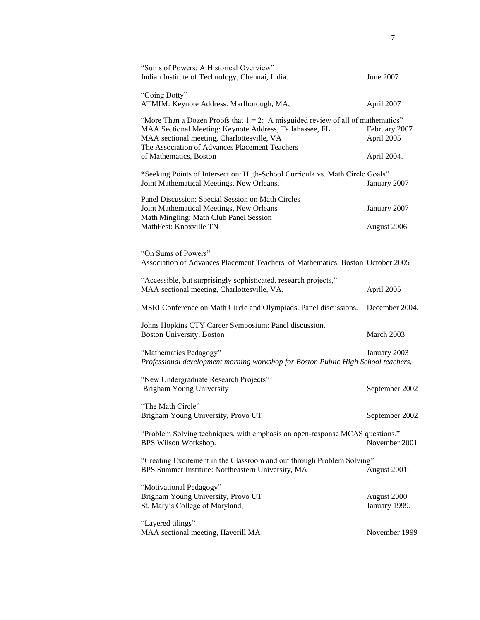| "Sums of Powers: A Historical Overview"<br>Indian Institute of Technology, Chennai, India.                                                                                                  | June 2007                    |
|---------------------------------------------------------------------------------------------------------------------------------------------------------------------------------------------|------------------------------|
| "Going Dotty"<br>ATMIM: Keynote Address. Marlborough, MA,                                                                                                                                   | April 2007                   |
| "More Than a Dozen Proofs that $1 = 2$ : A misguided review of all of mathematics"<br>MAA Sectional Meeting: Keynote Address, Tallahassee, FL<br>MAA sectional meeting, Charlottesville, VA | February 2007<br>April 2005  |
| The Association of Advances Placement Teachers<br>of Mathematics, Boston                                                                                                                    | April 2004.                  |
| "Seeking Points of Intersection: High-School Curricula vs. Math Circle Goals"<br>Joint Mathematical Meetings, New Orleans,                                                                  | January 2007                 |
| Panel Discussion: Special Session on Math Circles<br>Joint Mathematical Meetings, New Orleans<br>Math Mingling: Math Club Panel Session                                                     | January 2007                 |
| MathFest: Knoxville TN                                                                                                                                                                      | August 2006                  |
| "On Sums of Powers"<br>Association of Advances Placement Teachers of Mathematics, Boston October 2005                                                                                       |                              |
| "Accessible, but surprisingly sophisticated, research projects,"<br>MAA sectional meeting, Charlottesville, VA.                                                                             | April 2005                   |
| MSRI Conference on Math Circle and Olympiads. Panel discussions.                                                                                                                            | December 2004.               |
| Johns Hopkins CTY Career Symposium: Panel discussion.<br>Boston University, Boston                                                                                                          | March 2003                   |
| "Mathematics Pedagogy"<br>Professional development morning workshop for Boston Public High School teachers.                                                                                 | January 2003                 |
| "New Undergraduate Research Projects"<br><b>Brigham Young University</b>                                                                                                                    | September 2002               |
| "The Math Circle"<br>Brigham Young University, Provo UT                                                                                                                                     | September 2002               |
| "Problem Solving techniques, with emphasis on open-response MCAS questions."<br>BPS Wilson Workshop.                                                                                        | November 2001                |
| "Creating Excitement in the Classroom and out through Problem Solving"<br>BPS Summer Institute: Northeastern University, MA                                                                 | August 2001.                 |
| "Motivational Pedagogy"<br>Brigham Young University, Provo UT<br>St. Mary's College of Maryland,                                                                                            | August 2000<br>January 1999. |
| "Layered tilings"<br>MAA sectional meeting, Haverill MA                                                                                                                                     | November 1999                |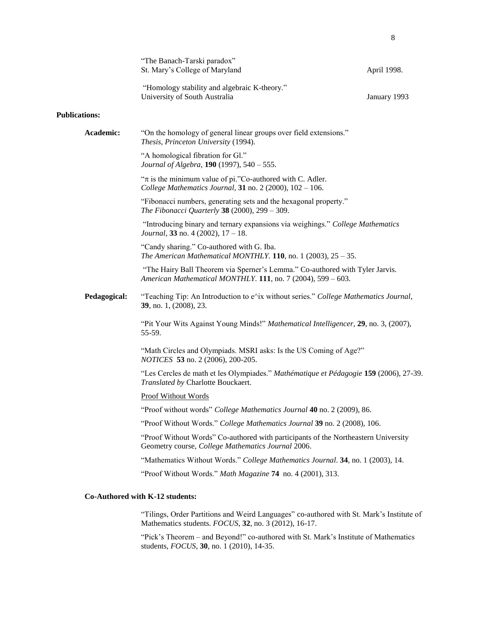|                      | "The Banach-Tarski paradox"<br>St. Mary's College of Maryland                                                                                | April 1998.  |
|----------------------|----------------------------------------------------------------------------------------------------------------------------------------------|--------------|
|                      | "Homology stability and algebraic K-theory."<br>University of South Australia                                                                | January 1993 |
| <b>Publications:</b> |                                                                                                                                              |              |
| Academic:            | "On the homology of general linear groups over field extensions."<br>Thesis, Princeton University (1994).                                    |              |
|                      | "A homological fibration for Gl."<br>Journal of Algebra, 190 (1997), 540 - 555.                                                              |              |
|                      | " $\pi$ is the minimum value of pi."Co-authored with C. Adler.<br>College Mathematics Journal, 31 no. 2 (2000), $102 - 106$ .                |              |
|                      | "Fibonacci numbers, generating sets and the hexagonal property."<br>The Fibonacci Quarterly 38 (2000), 299 - 309.                            |              |
|                      | "Introducing binary and ternary expansions via weighings." College Mathematics<br>Journal, 33 no. 4 (2002), $17 - 18$ .                      |              |
|                      | "Candy sharing." Co-authored with G. Iba.<br>The American Mathematical MONTHLY. 110, no. 1 (2003), $25 - 35$ .                               |              |
|                      | "The Hairy Ball Theorem via Sperner's Lemma." Co-authored with Tyler Jarvis.<br>American Mathematical MONTHLY. 111, no. 7 (2004), 599 - 603. |              |
| Pedagogical:         | "Teaching Tip: An Introduction to e^ix without series." College Mathematics Journal,<br>39, no. 1, (2008), 23.                               |              |
|                      | "Pit Your Wits Against Young Minds!" Mathematical Intelligencer, 29, no. 3, (2007),<br>55-59.                                                |              |
|                      | "Math Circles and Olympiads. MSRI asks: Is the US Coming of Age?"<br><i>NOTICES</i> 53 no. 2 (2006), 200-205.                                |              |
|                      | "Les Cercles de math et les Olympiades." Mathématique et Pédagogie 159 (2006), 27-39.<br>Translated by Charlotte Bouckaert.                  |              |
|                      | <b>Proof Without Words</b>                                                                                                                   |              |
|                      | "Proof without words" College Mathematics Journal 40 no. 2 (2009), 86.                                                                       |              |
|                      | "Proof Without Words." College Mathematics Journal 39 no. 2 (2008), 106.                                                                     |              |
|                      | "Proof Without Words" Co-authored with participants of the Northeastern University<br>Geometry course, College Mathematics Journal 2006.     |              |
|                      | "Mathematics Without Words." College Mathematics Journal. 34, no. 1 (2003), 14.                                                              |              |
|                      | "Proof Without Words." Math Magazine 74 no. 4 (2001), 313.                                                                                   |              |
|                      | Co-Authored with K-12 students:                                                                                                              |              |

"Tilings, Order Partitions and Weird Languages" co-authored with St. Mark's Institute of Mathematics students. *FOCUS*, **32**, no. 3 (2012), 16-17.

"Pick's Theorem – and Beyond!" co-authored with St. Mark's Institute of Mathematics students, *FOCUS*, **30**, no. 1 (2010), 14-35.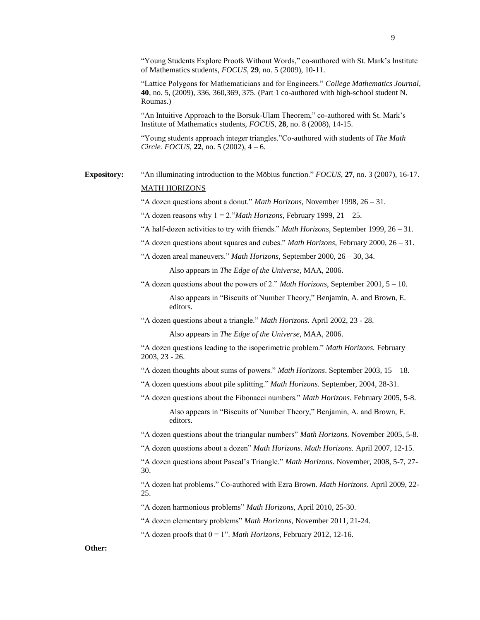"Young Students Explore Proofs Without Words," co-authored with St. Mark's Institute of Mathematics students, *FOCUS*, **29**, no. 5 (2009), 10-11.

"Lattice Polygons for Mathematicians and for Engineers." *College Mathematics Journal*, **40**, no. 5, (2009), 336, 360,369, 375. (Part 1 co-authored with high-school student N. Roumas.)

"An Intuitive Approach to the Borsuk-Ulam Theorem," co-authored with St. Mark's Institute of Mathematics students, *FOCUS*, **28**, no. 8 (2008), 14-15.

"Young students approach integer triangles."Co-authored with students of *The Math Circle. FOCUS*, **22**, no. 5 (2002), 4 – 6.

# **Expository:** "An illuminating introduction to the Möbius function." *FOCUS*, **27**, no. 3 (2007), 16-17. MATH HORIZONS

"A dozen questions about a donut." *Math Horizons,* November 1998, 26 – 31.

"A dozen reasons why  $1 = 2$ ."*Math Horizons*, February 1999,  $21 - 25$ .

- "A half-dozen activities to try with friends." *Math Horizons,* September 1999, 26 31.
- "A dozen questions about squares and cubes." *Math Horizons,* February 2000, 26 31.
- "A dozen areal maneuvers." *Math Horizons,* September 2000, 26 30, 34.

Also appears in *The Edge of the Universe*, MAA, 2006.

"A dozen questions about the powers of 2." *Math Horizons*, September 2001, 5 – 10. Also appears in "Biscuits of Number Theory," Benjamin, A. and Brown, E. editors.

"A dozen questions about a triangle." *Math Horizons.* April 2002, 23 - 28.

Also appears in *The Edge of the Universe*, MAA, 2006.

"A dozen questions leading to the isoperimetric problem." *Math Horizons.* February 2003, 23 - 26.

"A dozen thoughts about sums of powers." *Math Horizons*. September 2003, 15 – 18.

- "A dozen questions about pile splitting." *Math Horizons*. September, 2004, 28-31.
- "A dozen questions about the Fibonacci numbers." *Math Horizons*. February 2005, 5-8. Also appears in "Biscuits of Number Theory," Benjamin, A. and Brown, E.

"A dozen questions about the triangular numbers" *Math Horizons.* November 2005, 5-8.

"A dozen questions about a dozen" *Math Horizons*. *Math Horizons.* April 2007, 12-15.

"A dozen questions about Pascal's Triangle." *Math Horizons*. November, 2008, 5-7, 27- 30.

"A dozen hat problems." Co-authored with Ezra Brown. *Math Horizons*. April 2009, 22- 25.

"A dozen harmonious problems" *Math Horizons*, April 2010, 25-30.

editors.

"A dozen elementary problems" *Math Horizons*, November 2011, 21-24.

"A dozen proofs that  $0 = 1$ ". *Math Horizons*, February 2012, 12-16.

## **Other:**